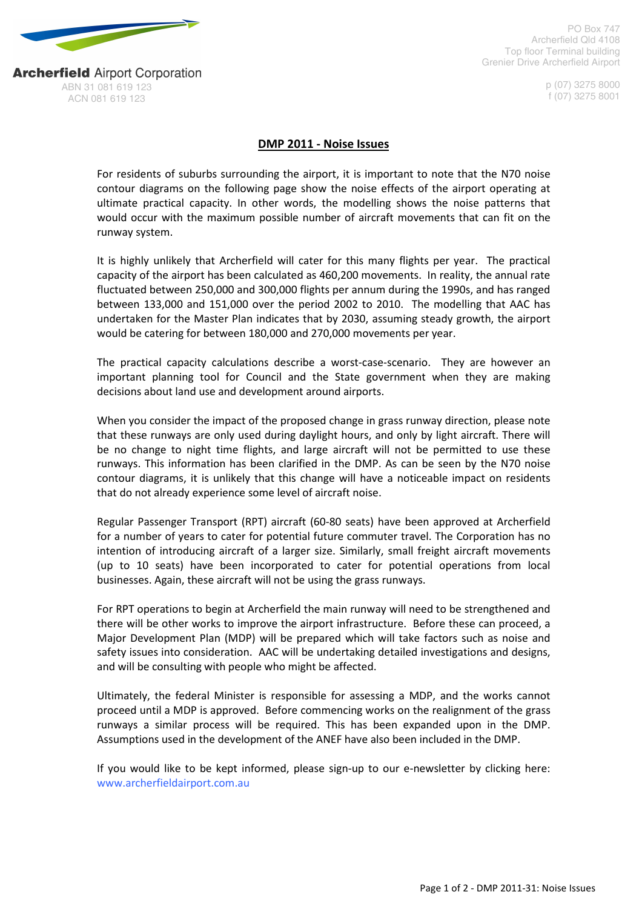

ABN 31 081 619 123 ACN 081 619 123

**Archerfield Airport Corporation** 

PO Box 747 Archerfield Qld 4108 Top floor Terminal building Grenier Drive Archerfield Airport

> p (07) 3275 8000 f (07) 3275 8001

## DMP 2011 - Noise Issues

For residents of suburbs surrounding the airport, it is important to note that the N70 noise contour diagrams on the following page show the noise effects of the airport operating at ultimate practical capacity. In other words, the modelling shows the noise patterns that would occur with the maximum possible number of aircraft movements that can fit on the runway system.

It is highly unlikely that Archerfield will cater for this many flights per year. The practical capacity of the airport has been calculated as 460,200 movements. In reality, the annual rate fluctuated between 250,000 and 300,000 flights per annum during the 1990s, and has ranged between 133,000 and 151,000 over the period 2002 to 2010. The modelling that AAC has undertaken for the Master Plan indicates that by 2030, assuming steady growth, the airport would be catering for between 180,000 and 270,000 movements per year.

The practical capacity calculations describe a worst-case-scenario. They are however an important planning tool for Council and the State government when they are making decisions about land use and development around airports.

When you consider the impact of the proposed change in grass runway direction, please note that these runways are only used during daylight hours, and only by light aircraft. There will be no change to night time flights, and large aircraft will not be permitted to use these runways. This information has been clarified in the DMP. As can be seen by the N70 noise contour diagrams, it is unlikely that this change will have a noticeable impact on residents that do not already experience some level of aircraft noise.

Regular Passenger Transport (RPT) aircraft (60-80 seats) have been approved at Archerfield for a number of years to cater for potential future commuter travel. The Corporation has no intention of introducing aircraft of a larger size. Similarly, small freight aircraft movements (up to 10 seats) have been incorporated to cater for potential operations from local businesses. Again, these aircraft will not be using the grass runways.

For RPT operations to begin at Archerfield the main runway will need to be strengthened and there will be other works to improve the airport infrastructure. Before these can proceed, a Major Development Plan (MDP) will be prepared which will take factors such as noise and safety issues into consideration. AAC will be undertaking detailed investigations and designs, and will be consulting with people who might be affected.

Ultimately, the federal Minister is responsible for assessing a MDP, and the works cannot proceed until a MDP is approved. Before commencing works on the realignment of the grass runways a similar process will be required. This has been expanded upon in the DMP. Assumptions used in the development of the ANEF have also been included in the DMP.

If you would like to be kept informed, please sign-up to our e-newsletter by clicking here: www.archerfieldairport.com.au